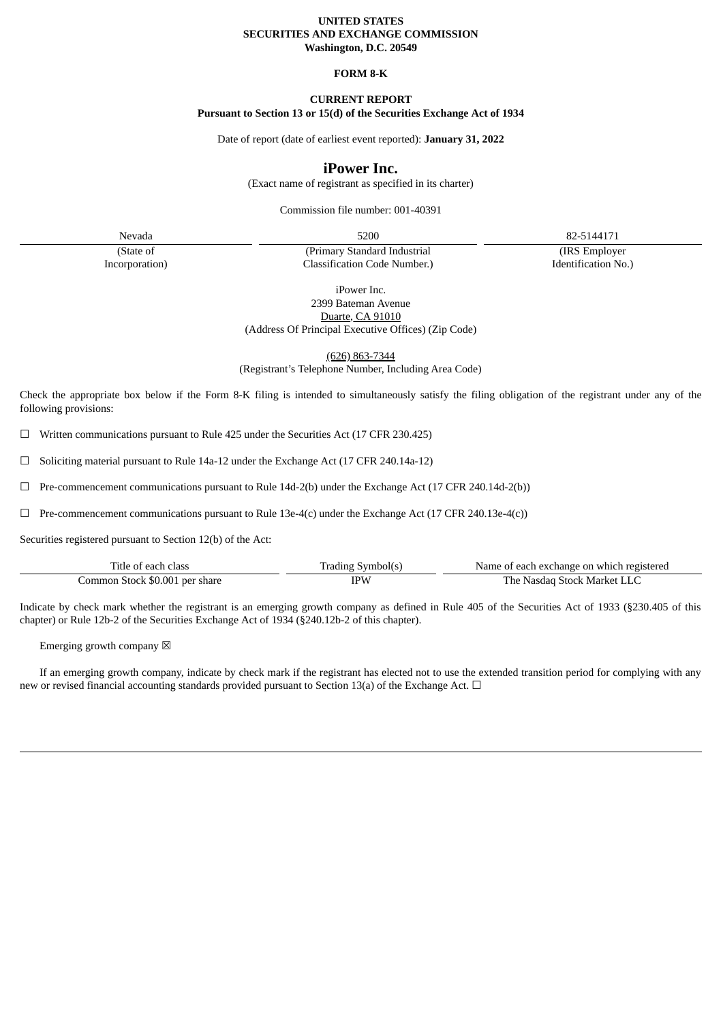# **UNITED STATES SECURITIES AND EXCHANGE COMMISSION Washington, D.C. 20549**

## **FORM 8-K**

## **CURRENT REPORT**

# **Pursuant to Section 13 or 15(d) of the Securities Exchange Act of 1934**

Date of report (date of earliest event reported): **January 31, 2022**

# **iPower Inc.**

(Exact name of registrant as specified in its charter)

Commission file number: 001-40391

Nevada 5200 82-5144171

(IRS Employer Identification No.)

iPower Inc. 2399 Bateman Avenue

(Primary Standard Industrial Classification Code Number.)

Duarte, CA 91010

(Address Of Principal Executive Offices) (Zip Code)

(626) 863-7344

(Registrant's Telephone Number, Including Area Code)

Check the appropriate box below if the Form 8-K filing is intended to simultaneously satisfy the filing obligation of the registrant under any of the following provisions:

☐ Written communications pursuant to Rule 425 under the Securities Act (17 CFR 230.425)

☐ Soliciting material pursuant to Rule 14a-12 under the Exchange Act (17 CFR 240.14a-12)

 $\Box$  Pre-commencement communications pursuant to Rule 14d-2(b) under the Exchange Act (17 CFR 240.14d-2(b))

☐ Pre-commencement communications pursuant to Rule 13e-4(c) under the Exchange Act (17 CFR 240.13e-4(c))

Securities registered pursuant to Section 12(b) of the Act:

(State of Incorporation)

| Title of each class            | ' Symbol(s | Name of each exchange on which registered |
|--------------------------------|------------|-------------------------------------------|
| Common Stock \$0.001 per share | `PW        | The Nasdag Stock Market LL                |

Indicate by check mark whether the registrant is an emerging growth company as defined in Rule 405 of the Securities Act of 1933 (§230.405 of this chapter) or Rule 12b-2 of the Securities Exchange Act of 1934 (§240.12b-2 of this chapter).

Emerging growth company  $\boxtimes$ 

If an emerging growth company, indicate by check mark if the registrant has elected not to use the extended transition period for complying with any new or revised financial accounting standards provided pursuant to Section 13(a) of the Exchange Act.  $\Box$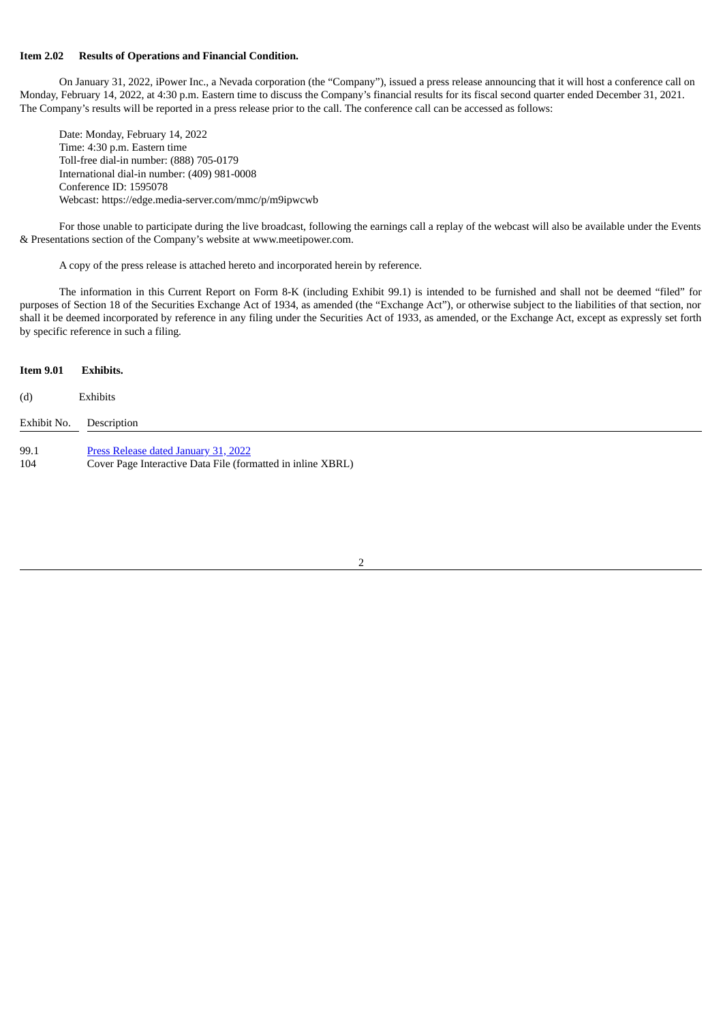### **Item 2.02 Results of Operations and Financial Condition.**

On January 31, 2022, iPower Inc., a Nevada corporation (the "Company"), issued a press release announcing that it will host a conference call on Monday, February 14, 2022, at 4:30 p.m. Eastern time to discuss the Company's financial results for its fiscal second quarter ended December 31, 2021. The Company's results will be reported in a press release prior to the call. The conference call can be accessed as follows:

Date: Monday, February 14, 2022 Time: 4:30 p.m. Eastern time Toll-free dial-in number: (888) 705-0179 International dial-in number: (409) 981-0008 Conference ID: 1595078 Webcast: https://edge.media-server.com/mmc/p/m9ipwcwb

For those unable to participate during the live broadcast, following the earnings call a replay of the webcast will also be available under the Events & Presentations section of the Company's website at www.meetipower.com.

A copy of the press release is attached hereto and incorporated herein by reference.

The information in this Current Report on Form 8-K (including Exhibit 99.1) is intended to be furnished and shall not be deemed "filed" for purposes of Section 18 of the Securities Exchange Act of 1934, as amended (the "Exchange Act"), or otherwise subject to the liabilities of that section, nor shall it be deemed incorporated by reference in any filing under the Securities Act of 1933, as amended, or the Exchange Act, except as expressly set forth by specific reference in such a filing*.*

#### **Item 9.01 Exhibits.**

# (d) Exhibits

| Exhibit No. | Description                                                 |
|-------------|-------------------------------------------------------------|
| 99.1        | Press Release dated January 31, 2022                        |
| 104         | Cover Page Interactive Data File (formatted in inline XBRL) |

#### 2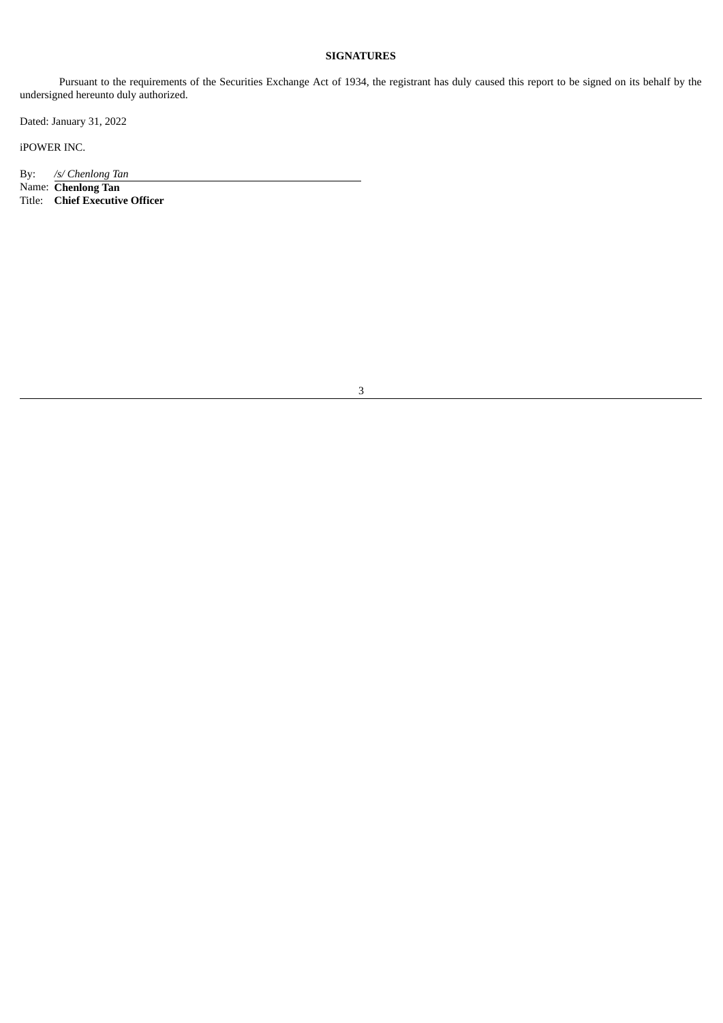# **SIGNATURES**

Pursuant to the requirements of the Securities Exchange Act of 1934, the registrant has duly caused this report to be signed on its behalf by the undersigned hereunto duly authorized.

Dated: January 31, 2022

iPOWER INC.

By: */s/ Chenlong Tan*

Name: **Chenlong Tan** Title: **Chief Executive Officer**